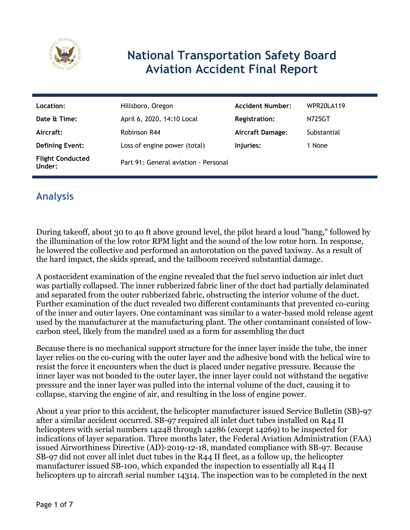

# **National Transportation Safety Board Aviation Accident Final Report**

| Location:                         | Hillsboro, Oregon                    | <b>Accident Number:</b> | WPR20LA119  |
|-----------------------------------|--------------------------------------|-------------------------|-------------|
| Date & Time:                      | April 6, 2020, 14:10 Local           | <b>Registration:</b>    | N725GT      |
| Aircraft:                         | Robinson R44                         | <b>Aircraft Damage:</b> | Substantial |
| <b>Defining Event:</b>            | Loss of engine power (total)         | Injuries:               | 1 None      |
| <b>Flight Conducted</b><br>Under: | Part 91: General aviation - Personal |                         |             |

## **Analysis**

During takeoff, about 30 to 40 ft above ground level, the pilot heard a loud "bang," followed by the illumination of the low rotor RPM light and the sound of the low rotor horn. In response, he lowered the collective and performed an autorotation on the paved taxiway. As a result of the hard impact, the skids spread, and the tailboom received substantial damage.

A postaccident examination of the engine revealed that the fuel servo induction air inlet duct was partially collapsed. The inner rubberized fabric liner of the duct had partially delaminated and separated from the outer rubberized fabric, obstructing the interior volume of the duct. Further examination of the duct revealed two different contaminants that prevented co-curing of the inner and outer layers. One contaminant was similar to a water-based mold release agent used by the manufacturer at the manufacturing plant. The other contaminant consisted of lowcarbon steel, likely from the mandrel used as a form for assembling the duct

Because there is no mechanical support structure for the inner layer inside the tube, the inner layer relies on the co-curing with the outer layer and the adhesive bond with the helical wire to resist the force it encounters when the duct is placed under negative pressure. Because the inner layer was not bonded to the outer layer, the inner layer could not withstand the negative pressure and the inner layer was pulled into the internal volume of the duct, causing it to collapse, starving the engine of air, and resulting in the loss of engine power.

About a year prior to this accident, the helicopter manufacturer issued Service Bulletin (SB)-97 after a similar accident occurred. SB-97 required all inlet duct tubes installed on R44 II helicopters with serial numbers 14248 through 14286 (except 14269) to be inspected for indications of layer separation. Three months later, the Federal Aviation Administration (FAA) issued Airworthiness Directive (AD)-2019-12-18, mandated compliance with SB-97. Because SB-97 did not cover all inlet duct tubes in the R44 II fleet, as a follow up, the helicopter manufacturer issued SB-100, which expanded the inspection to essentially all R44 II helicopters up to aircraft serial number 14314. The inspection was to be completed in the next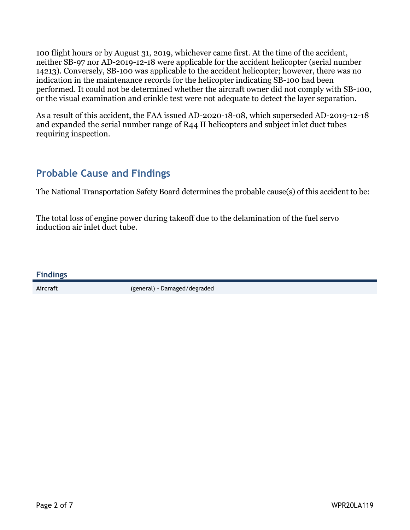100 flight hours or by August 31, 2019, whichever came first. At the time of the accident, neither SB-97 nor AD-2019-12-18 were applicable for the accident helicopter (serial number 14213). Conversely, SB-100 was applicable to the accident helicopter; however, there was no indication in the maintenance records for the helicopter indicating SB-100 had been performed. It could not be determined whether the aircraft owner did not comply with SB-100, or the visual examination and crinkle test were not adequate to detect the layer separation.

As a result of this accident, the FAA issued AD-2020-18-08, which superseded AD-2019-12-18 and expanded the serial number range of R44 II helicopters and subject inlet duct tubes requiring inspection.

#### **Probable Cause and Findings**

The National Transportation Safety Board determines the probable cause(s) of this accident to be:

The total loss of engine power during takeoff due to the delamination of the fuel servo induction air inlet duct tube.

**Findings**

**Aircraft** (general) - Damaged/degraded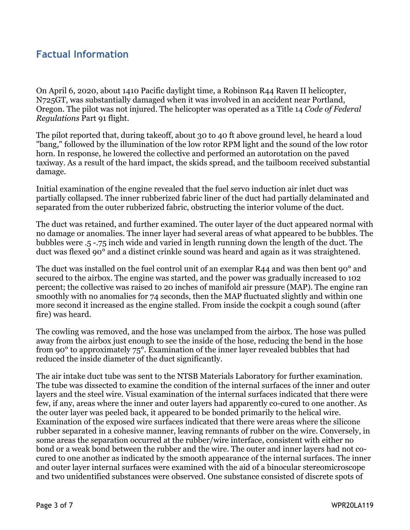#### **Factual Information**

On April 6, 2020, about 1410 Pacific daylight time, a Robinson R44 Raven II helicopter, N725GT, was substantially damaged when it was involved in an accident near Portland, Oregon. The pilot was not injured. The helicopter was operated as a Title 14 *Code of Federal Regulations* Part 91 flight.

The pilot reported that, during takeoff, about 30 to 40 ft above ground level, he heard a loud "bang," followed by the illumination of the low rotor RPM light and the sound of the low rotor horn. In response, he lowered the collective and performed an autorotation on the paved taxiway. As a result of the hard impact, the skids spread, and the tailboom received substantial damage.

Initial examination of the engine revealed that the fuel servo induction air inlet duct was partially collapsed. The inner rubberized fabric liner of the duct had partially delaminated and separated from the outer rubberized fabric, obstructing the interior volume of the duct.

The duct was retained, and further examined. The outer layer of the duct appeared normal with no damage or anomalies. The inner layer had several areas of what appeared to be bubbles. The bubbles were .5 -.75 inch wide and varied in length running down the length of the duct. The duct was flexed 90° and a distinct crinkle sound was heard and again as it was straightened.

The duct was installed on the fuel control unit of an exemplar R44 and was then bent 90° and secured to the airbox. The engine was started, and the power was gradually increased to 102 percent; the collective was raised to 20 inches of manifold air pressure (MAP). The engine ran smoothly with no anomalies for 74 seconds, then the MAP fluctuated slightly and within one more second it increased as the engine stalled. From inside the cockpit a cough sound (after fire) was heard.

The cowling was removed, and the hose was unclamped from the airbox. The hose was pulled away from the airbox just enough to see the inside of the hose, reducing the bend in the hose from 90° to approximately 75°. Examination of the inner layer revealed bubbles that had reduced the inside diameter of the duct significantly.

The air intake duct tube was sent to the NTSB Materials Laboratory for further examination. The tube was dissected to examine the condition of the internal surfaces of the inner and outer layers and the steel wire. Visual examination of the internal surfaces indicated that there were few, if any, areas where the inner and outer layers had apparently co-cured to one another. As the outer layer was peeled back, it appeared to be bonded primarily to the helical wire. Examination of the exposed wire surfaces indicated that there were areas where the silicone rubber separated in a cohesive manner, leaving remnants of rubber on the wire. Conversely, in some areas the separation occurred at the rubber/wire interface, consistent with either no bond or a weak bond between the rubber and the wire. The outer and inner layers had not cocured to one another as indicated by the smooth appearance of the internal surfaces. The inner and outer layer internal surfaces were examined with the aid of a binocular stereomicroscope and two unidentified substances were observed. One substance consisted of discrete spots of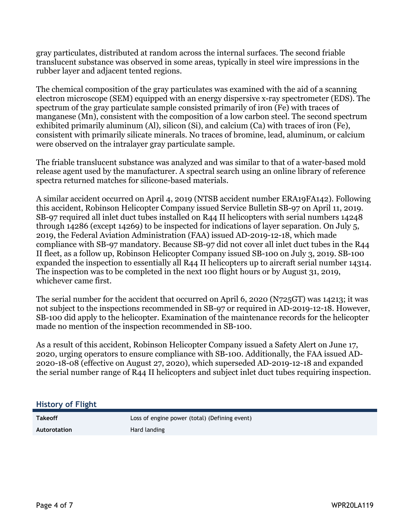gray particulates, distributed at random across the internal surfaces. The second friable translucent substance was observed in some areas, typically in steel wire impressions in the rubber layer and adjacent tented regions.

The chemical composition of the gray particulates was examined with the aid of a scanning electron microscope (SEM) equipped with an energy dispersive x-ray spectrometer (EDS). The spectrum of the gray particulate sample consisted primarily of iron (Fe) with traces of manganese (Mn), consistent with the composition of a low carbon steel. The second spectrum exhibited primarily aluminum (Al), silicon (Si), and calcium (Ca) with traces of iron (Fe), consistent with primarily silicate minerals. No traces of bromine, lead, aluminum, or calcium were observed on the intralayer gray particulate sample.

The friable translucent substance was analyzed and was similar to that of a water-based mold release agent used by the manufacturer. A spectral search using an online library of reference spectra returned matches for silicone-based materials.

A similar accident occurred on April 4, 2019 (NTSB accident number ERA19FA142). Following this accident, Robinson Helicopter Company issued Service Bulletin SB-97 on April 11, 2019. SB-97 required all inlet duct tubes installed on R44 II helicopters with serial numbers 14248 through 14286 (except 14269) to be inspected for indications of layer separation. On July 5, 2019, the Federal Aviation Administration (FAA) issued AD-2019-12-18, which made compliance with SB-97 mandatory. Because SB-97 did not cover all inlet duct tubes in the R44 II fleet, as a follow up, Robinson Helicopter Company issued SB-100 on July 3, 2019. SB-100 expanded the inspection to essentially all R44 II helicopters up to aircraft serial number 14314. The inspection was to be completed in the next 100 flight hours or by August 31, 2019, whichever came first.

The serial number for the accident that occurred on April 6, 2020 (N725GT) was 14213; it was not subject to the inspections recommended in SB-97 or required in AD-2019-12-18. However, SB-100 did apply to the helicopter. Examination of the maintenance records for the helicopter made no mention of the inspection recommended in SB-100.

As a result of this accident, Robinson Helicopter Company issued a Safety Alert on June 17, 2020, urging operators to ensure compliance with SB-100. Additionally, the FAA issued AD-2020-18-08 (effective on August 27, 2020), which superseded AD-2019-12-18 and expanded the serial number range of R44 II helicopters and subject inlet duct tubes requiring inspection.

#### **History of Flight**

**Takeoff Loss of engine power (total) (Defining event)** 

Autorotation **Hard Landing**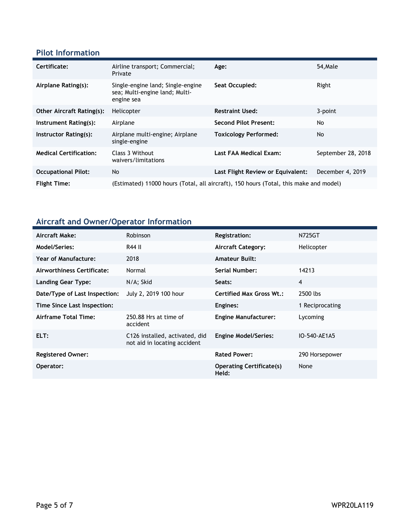#### **Pilot Information**

| Certificate:                     | Airline transport; Commercial;<br>Private                                             | Age:                              | 54, Male           |
|----------------------------------|---------------------------------------------------------------------------------------|-----------------------------------|--------------------|
| Airplane Rating(s):              | Single-engine land; Single-engine<br>sea; Multi-engine land; Multi-<br>engine sea     | Seat Occupied:                    | Right              |
| <b>Other Aircraft Rating(s):</b> | Helicopter                                                                            | <b>Restraint Used:</b>            | 3-point            |
| Instrument Rating(s):            | Airplane                                                                              | <b>Second Pilot Present:</b>      | No                 |
| Instructor Rating(s):            | Airplane multi-engine; Airplane<br>single-engine                                      | <b>Toxicology Performed:</b>      | No.                |
| <b>Medical Certification:</b>    | Class 3 Without<br>waivers/limitations                                                | Last FAA Medical Exam:            | September 28, 2018 |
| <b>Occupational Pilot:</b>       | <b>No</b>                                                                             | Last Flight Review or Equivalent: | December 4, 2019   |
| <b>Flight Time:</b>              | (Estimated) 11000 hours (Total, all aircraft), 150 hours (Total, this make and model) |                                   |                    |

### **Aircraft and Owner/Operator Information**

| Aircraft Make:                | <b>Robinson</b>                                                | <b>Registration:</b>                     | N725GT          |
|-------------------------------|----------------------------------------------------------------|------------------------------------------|-----------------|
| <b>Model/Series:</b>          | R44 II                                                         | <b>Aircraft Category:</b>                | Helicopter      |
| Year of Manufacture:          | 2018                                                           | <b>Amateur Built:</b>                    |                 |
| Airworthiness Certificate:    | Normal                                                         | <b>Serial Number:</b>                    | 14213           |
| <b>Landing Gear Type:</b>     | N/A; Skid                                                      | Seats:                                   | $\overline{4}$  |
| Date/Type of Last Inspection: | July 2, 2019 100 hour                                          | <b>Certified Max Gross Wt.:</b>          | 2500 lbs        |
| Time Since Last Inspection:   |                                                                | Engines:                                 | 1 Reciprocating |
| Airframe Total Time:          | 250.88 Hrs at time of<br>accident                              | <b>Engine Manufacturer:</b>              | Lycoming        |
| ELT:                          | C126 installed, activated, did<br>not aid in locating accident | <b>Engine Model/Series:</b>              | IO-540-AE1A5    |
| <b>Registered Owner:</b>      |                                                                | <b>Rated Power:</b>                      | 290 Horsepower  |
| Operator:                     |                                                                | <b>Operating Certificate(s)</b><br>Held: | None            |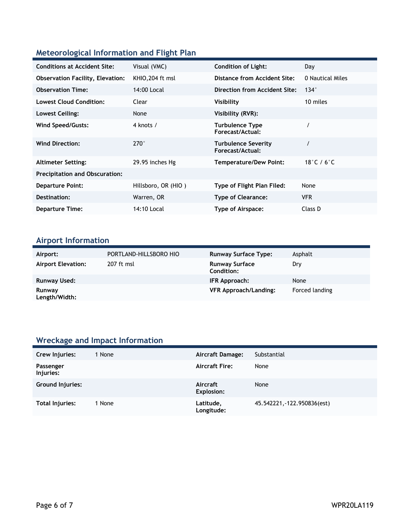#### **Meteorological Information and Flight Plan**

| <b>Conditions at Accident Site:</b>     | Visual (VMC)        | <b>Condition of Light:</b>                     | Day                              |  |
|-----------------------------------------|---------------------|------------------------------------------------|----------------------------------|--|
| <b>Observation Facility, Elevation:</b> | KHIO, 204 ft msl    | Distance from Accident Site:                   | 0 Nautical Miles                 |  |
| <b>Observation Time:</b>                | 14:00 Local         | Direction from Accident Site:                  | $134^\circ$                      |  |
| <b>Lowest Cloud Condition:</b>          | Clear               | Visibility                                     | 10 miles                         |  |
| Lowest Ceiling:                         | None                | Visibility (RVR):                              |                                  |  |
| Wind Speed/Gusts:                       | 4 knots /           | <b>Turbulence Type</b><br>Forecast/Actual:     |                                  |  |
| <b>Wind Direction:</b>                  | $270^\circ$         | <b>Turbulence Severity</b><br>Forecast/Actual: |                                  |  |
| <b>Altimeter Setting:</b>               | 29.95 inches Hg     | <b>Temperature/Dew Point:</b>                  | 18 $^{\circ}$ C / 6 $^{\circ}$ C |  |
| <b>Precipitation and Obscuration:</b>   |                     |                                                |                                  |  |
| <b>Departure Point:</b>                 | Hillsboro, OR (HIO) | Type of Flight Plan Filed:                     | None                             |  |
| Destination:                            | Warren, OR          | <b>Type of Clearance:</b>                      | <b>VFR</b>                       |  |
| <b>Departure Time:</b>                  | 14:10 Local         | Type of Airspace:                              | Class D                          |  |

# **Airport Information**

| Airport:                  | PORTLAND-HILLSBORO HIO | <b>Runway Surface Type:</b>                | Asphalt        |
|---------------------------|------------------------|--------------------------------------------|----------------|
| <b>Airport Elevation:</b> | 207 ft msl             | <b>Runway Surface</b><br><b>Condition:</b> | Dry            |
| <b>Runway Used:</b>       |                        | IFR Approach:                              | None           |
| Runway<br>Length/Width:   |                        | <b>VFR Approach/Landing:</b>               | Forced landing |

### **Wreckage and Impact Information**

| Crew Injuries:         | 1 None | Aircraft Damage:              | Substantial                 |
|------------------------|--------|-------------------------------|-----------------------------|
| Passenger<br>Injuries: |        | <b>Aircraft Fire:</b>         | None                        |
| Ground Injuries:       |        | Aircraft<br><b>Explosion:</b> | None                        |
| Total Injuries:        | 1 None | Latitude,<br>Longitude:       | 45.542221, -122.950836(est) |